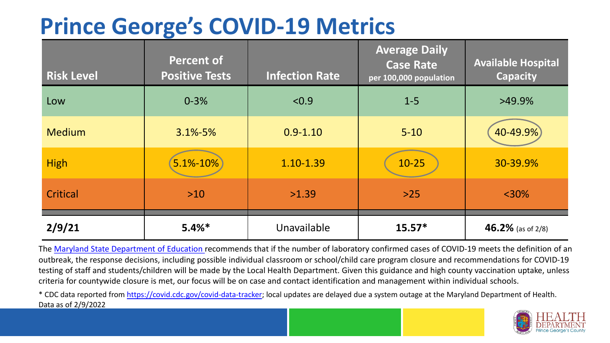## **Prince George's COVID-19 Metrics**

| <b>Risk Level</b> | <b>Percent of</b><br><b>Positive Tests</b> | <b>Infection Rate</b> | <b>Average Daily</b><br><b>Case Rate</b><br>per 100,000 population | <b>Available Hospital</b><br><b>Capacity</b> |
|-------------------|--------------------------------------------|-----------------------|--------------------------------------------------------------------|----------------------------------------------|
| Low               | $0 - 3%$                                   | < 0.9                 | $1 - 5$                                                            | $>49.9\%$                                    |
| <b>Medium</b>     | $3.1\% - 5\%$                              | $0.9 - 1.10$          | $5 - 10$                                                           | 40-49.9%)                                    |
| <b>High</b>       | 5.1%-10%                                   | 1.10-1.39             | $10 - 25$                                                          | 30-39.9%                                     |
| Critical          | $>10$                                      | >1.39                 | $>25$                                                              | $<$ 30%                                      |
| 2/9/21            | $5.4%$ *                                   | Unavailable           | $15.57*$                                                           | 46.2% (as of 2/8)                            |

The [Maryland State Department of Education](https://earlychildhood.marylandpublicschools.org/system/files/filedepot/3/covid_guidance_full_080420.pdf) recommends that if the number of laboratory confirmed cases of COVID-19 meets the definition of an outbreak, the response decisions, including possible individual classroom or school/child care program closure and recommendations for COVID-19 testing of staff and students/children will be made by the Local Health Department. Given this guidance and high county vaccination uptake, unless criteria for countywide closure is met, our focus will be on case and contact identification and management within individual schools.

\* CDC data reported from <https://covid.cdc.gov/covid-data-tracker>; local updates are delayed due a system outage at the Maryland Department of Health. Data as of 2/9/2022

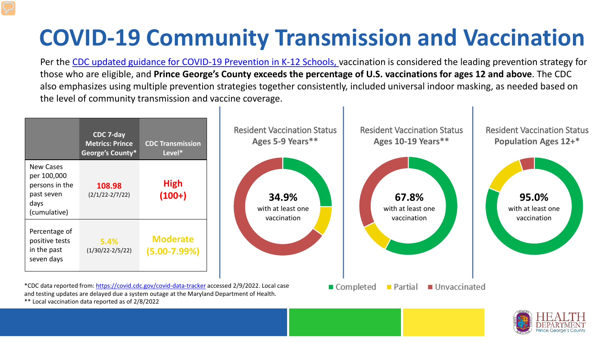## **COVID-19 Community Transmission and Vaccination**

Per the [CDC updated guidance for COVID-19 Prevention in K-12 Schools,](https://www.cdc.gov/coronavirus/2019-ncov/community/schools-childcare/k-12-guidance.html) vaccination is considered the leading prevention strategy for those who are eligible, and **Prince George's County exceeds the percentage of U.S. vaccinations for ages 12 and above**. The CDC also emphasizes using multiple prevention strategies together consistently, included universal indoor masking, as needed based on the level of community transmission and vaccine coverage.





\*\* Local vaccination data reported as of 2/8/2022